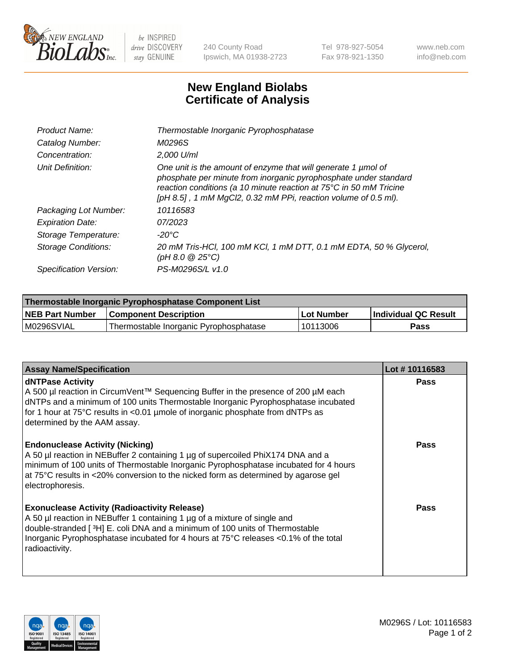

 $be$  INSPIRED drive DISCOVERY stay GENUINE

240 County Road Ipswich, MA 01938-2723 Tel 978-927-5054 Fax 978-921-1350 www.neb.com info@neb.com

## **New England Biolabs Certificate of Analysis**

| Product Name:              | Thermostable Inorganic Pyrophosphatase                                                                                                                                                                                                                                    |
|----------------------------|---------------------------------------------------------------------------------------------------------------------------------------------------------------------------------------------------------------------------------------------------------------------------|
| Catalog Number:            | M0296S                                                                                                                                                                                                                                                                    |
| Concentration:             | 2,000 U/ml                                                                                                                                                                                                                                                                |
| Unit Definition:           | One unit is the amount of enzyme that will generate 1 µmol of<br>phosphate per minute from inorganic pyrophosphate under standard<br>reaction conditions (a 10 minute reaction at 75°C in 50 mM Tricine<br>[pH 8.5], 1 mM MgCl2, 0.32 mM PPi, reaction volume of 0.5 ml). |
| Packaging Lot Number:      | 10116583                                                                                                                                                                                                                                                                  |
| <b>Expiration Date:</b>    | 07/2023                                                                                                                                                                                                                                                                   |
| Storage Temperature:       | $-20^{\circ}$ C                                                                                                                                                                                                                                                           |
| <b>Storage Conditions:</b> | 20 mM Tris-HCl, 100 mM KCl, 1 mM DTT, 0.1 mM EDTA, 50 % Glycerol,<br>$(pH 8.0 \ @ 25^{\circ}C)$                                                                                                                                                                           |
| Specification Version:     | PS-M0296S/L v1.0                                                                                                                                                                                                                                                          |

| Thermostable Inorganic Pyrophosphatase Component List |                                        |              |                      |  |
|-------------------------------------------------------|----------------------------------------|--------------|----------------------|--|
| NEB Part Number                                       | <b>Component Description</b>           | l Lot Number | Individual QC Result |  |
| M0296SVIAL                                            | Thermostable Inorganic Pyrophosphatase | 10113006     | Pass                 |  |

| <b>Assay Name/Specification</b>                                                                                                                                                                                                                                                                                             | Lot #10116583 |
|-----------------------------------------------------------------------------------------------------------------------------------------------------------------------------------------------------------------------------------------------------------------------------------------------------------------------------|---------------|
| <b>dNTPase Activity</b><br>A 500 µl reaction in CircumVent™ Sequencing Buffer in the presence of 200 µM each<br>dNTPs and a minimum of 100 units Thermostable Inorganic Pyrophosphatase incubated<br>for 1 hour at 75°C results in <0.01 µmole of inorganic phosphate from dNTPs as<br>determined by the AAM assay.         | <b>Pass</b>   |
| <b>Endonuclease Activity (Nicking)</b><br>A 50 µl reaction in NEBuffer 2 containing 1 µg of supercoiled PhiX174 DNA and a<br>minimum of 100 units of Thermostable Inorganic Pyrophosphatase incubated for 4 hours<br>at 75°C results in <20% conversion to the nicked form as determined by agarose gel<br>electrophoresis. | <b>Pass</b>   |
| <b>Exonuclease Activity (Radioactivity Release)</b><br>A 50 µl reaction in NEBuffer 1 containing 1 µg of a mixture of single and<br>double-stranded [3H] E. coli DNA and a minimum of 100 units of Thermostable<br>Inorganic Pyrophosphatase incubated for 4 hours at 75°C releases <0.1% of the total<br>radioactivity.    | <b>Pass</b>   |